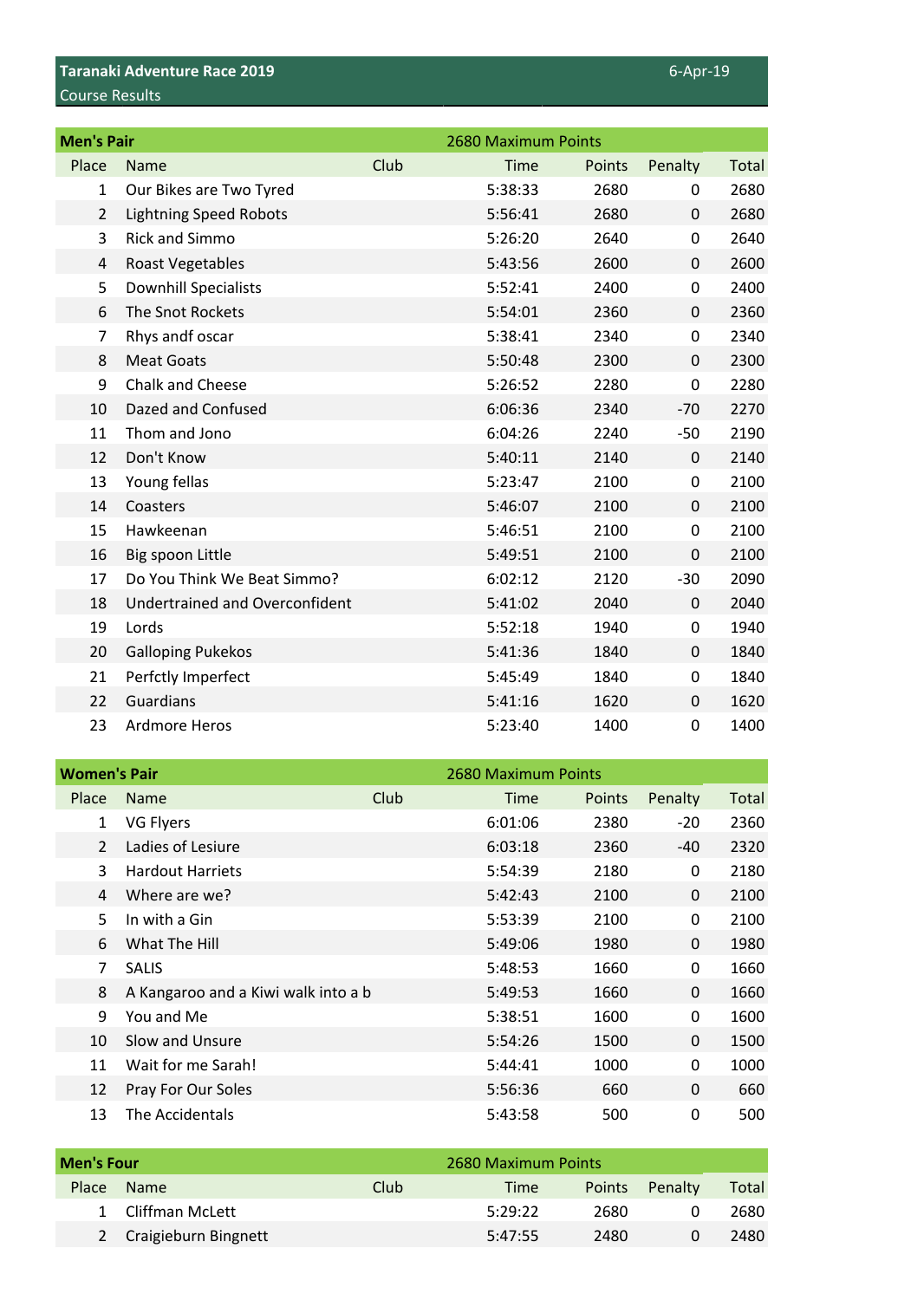## **Taranaki Adventure Race 2019** 6-Apr-19 Course Results

| <b>Men's Pair</b> |                                |      | 2680 Maximum Points |        |             |              |
|-------------------|--------------------------------|------|---------------------|--------|-------------|--------------|
| Place             | Name                           | Club | Time                | Points | Penalty     | <b>Total</b> |
| 1                 | Our Bikes are Two Tyred        |      | 5:38:33             | 2680   | 0           | 2680         |
| $\overline{2}$    | <b>Lightning Speed Robots</b>  |      | 5:56:41             | 2680   | $\mathbf 0$ | 2680         |
| 3                 | <b>Rick and Simmo</b>          |      | 5:26:20             | 2640   | 0           | 2640         |
| 4                 | Roast Vegetables               |      | 5:43:56             | 2600   | $\mathbf 0$ | 2600         |
| 5                 | <b>Downhill Specialists</b>    |      | 5:52:41             | 2400   | 0           | 2400         |
| 6                 | The Snot Rockets               |      | 5:54:01             | 2360   | $\mathbf 0$ | 2360         |
| 7                 | Rhys andf oscar                |      | 5:38:41             | 2340   | 0           | 2340         |
| 8                 | <b>Meat Goats</b>              |      | 5:50:48             | 2300   | $\mathbf 0$ | 2300         |
| 9                 | Chalk and Cheese               |      | 5:26:52             | 2280   | 0           | 2280         |
| 10                | Dazed and Confused             |      | 6:06:36             | 2340   | $-70$       | 2270         |
| 11                | Thom and Jono                  |      | 6:04:26             | 2240   | $-50$       | 2190         |
| 12                | Don't Know                     |      | 5:40:11             | 2140   | 0           | 2140         |
| 13                | Young fellas                   |      | 5:23:47             | 2100   | 0           | 2100         |
| 14                | Coasters                       |      | 5:46:07             | 2100   | 0           | 2100         |
| 15                | Hawkeenan                      |      | 5:46:51             | 2100   | 0           | 2100         |
| 16                | Big spoon Little               |      | 5:49:51             | 2100   | 0           | 2100         |
| 17                | Do You Think We Beat Simmo?    |      | 6:02:12             | 2120   | $-30$       | 2090         |
| 18                | Undertrained and Overconfident |      | 5:41:02             | 2040   | 0           | 2040         |
| 19                | Lords                          |      | 5:52:18             | 1940   | 0           | 1940         |
| 20                | <b>Galloping Pukekos</b>       |      | 5:41:36             | 1840   | 0           | 1840         |
| 21                | Perfctly Imperfect             |      | 5:45:49             | 1840   | 0           | 1840         |
| 22                | Guardians                      |      | 5:41:16             | 1620   | $\mathbf 0$ | 1620         |
| 23                | Ardmore Heros                  |      | 5:23:40             | 1400   | 0           | 1400         |

| <b>Women's Pair</b> |                                     |      | 2680 Maximum Points |        |                |       |
|---------------------|-------------------------------------|------|---------------------|--------|----------------|-------|
|                     | Place Name                          | Club | Time                | Points | Penalty        | Total |
|                     | VG Flyers                           |      | 6:01:06             | 2380   | $-20$          | 2360  |
|                     | 2 Ladies of Lesiure                 |      | 6:03:18             | 2360   | -40            | 2320  |
| 3                   | <b>Hardout Harriets</b>             |      | 5:54:39             | 2180   | 0              | 2180  |
|                     | 4 Where are we?                     |      | 5:42:43             | 2100   | $\overline{0}$ | 2100  |
| 5.                  | In with a Gin                       |      | 5:53:39             | 2100   | 0              | 2100  |
|                     | 6 What The Hill                     |      | 5:49:06             | 1980   | $\overline{0}$ | 1980  |
|                     | 7 SALIS                             |      | 5:48:53             | 1660   | $\mathbf 0$    | 1660  |
| 8                   | A Kangaroo and a Kiwi walk into a b |      | 5:49:53             | 1660   | $\overline{0}$ | 1660  |
| 9                   | You and Me                          |      | 5:38:51             | 1600   | 0              | 1600  |
| 10                  | Slow and Unsure                     |      | 5:54:26             | 1500   | $\overline{0}$ | 1500  |
| 11                  | Wait for me Sarah!                  |      | 5:44:41             | 1000   | $\mathbf 0$    | 1000  |
| 12                  | Pray For Our Soles                  |      | 5:56:36             | 660    | $\mathbf 0$    | 660   |
| 13                  | The Accidentals                     |      | 5:43:58             | 500    | 0              | 500   |

|       | <b>Men's Four</b>           |      | 2680 Maximum Points |        |         |       |
|-------|-----------------------------|------|---------------------|--------|---------|-------|
| Place | <b>Name</b>                 | Club | <b>Time</b>         | Points | Penalty | Total |
|       | Cliffman McLett             |      | 5:29:22             | 2680   |         | 2680  |
|       | <b>Craigieburn Bingnett</b> |      | 5:47:55             | 2480   |         | 2480  |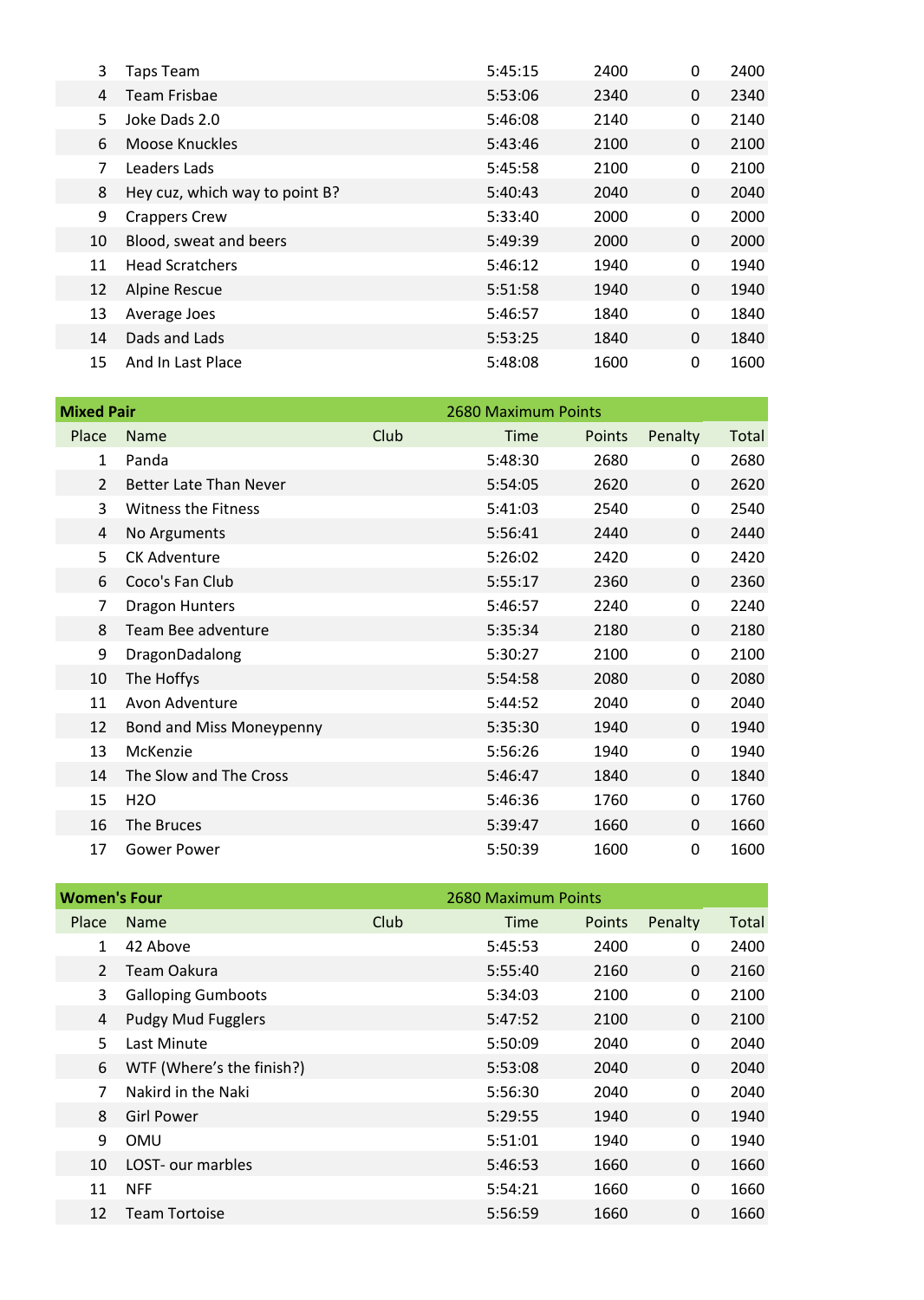| 3  | Taps Team                      | 5:45:15 | 2400 | 0 | 2400 |
|----|--------------------------------|---------|------|---|------|
|    | 4 Team Frisbae                 | 5:53:06 | 2340 | 0 | 2340 |
| 5. | Joke Dads 2.0                  | 5:46:08 | 2140 | 0 | 2140 |
| 6  | Moose Knuckles                 | 5:43:46 | 2100 | 0 | 2100 |
|    | Leaders Lads                   | 5:45:58 | 2100 | 0 | 2100 |
| 8  | Hey cuz, which way to point B? | 5:40:43 | 2040 | 0 | 2040 |
| 9  | <b>Crappers Crew</b>           | 5:33:40 | 2000 | 0 | 2000 |
| 10 | Blood, sweat and beers         | 5:49:39 | 2000 | 0 | 2000 |
| 11 | <b>Head Scratchers</b>         | 5:46:12 | 1940 | 0 | 1940 |
| 12 | <b>Alpine Rescue</b>           | 5:51:58 | 1940 | 0 | 1940 |
| 13 | Average Joes                   | 5:46:57 | 1840 | 0 | 1840 |
| 14 | Dads and Lads                  | 5:53:25 | 1840 | 0 | 1840 |
| 15 | And In Last Place              | 5:48:08 | 1600 | 0 | 1600 |

| <b>Mixed Pair</b> |                               |      | 2680 Maximum Points |        |                |       |
|-------------------|-------------------------------|------|---------------------|--------|----------------|-------|
| Place             | Name                          | Club | Time                | Points | Penalty        | Total |
|                   | Panda                         |      | 5:48:30             | 2680   | 0              | 2680  |
| 2                 | <b>Better Late Than Never</b> |      | 5:54:05             | 2620   | $\overline{0}$ | 2620  |
| 3                 | <b>Witness the Fitness</b>    |      | 5:41:03             | 2540   | $\mathbf 0$    | 2540  |
| 4                 | No Arguments                  |      | 5:56:41             | 2440   | $\mathbf{0}$   | 2440  |
| 5                 | <b>CK Adventure</b>           |      | 5:26:02             | 2420   | $\mathbf 0$    | 2420  |
| 6                 | Coco's Fan Club               |      | 5:55:17             | 2360   | $\mathbf{0}$   | 2360  |
| 7                 | <b>Dragon Hunters</b>         |      | 5:46:57             | 2240   | $\mathbf 0$    | 2240  |
| 8                 | Team Bee adventure            |      | 5:35:34             | 2180   | $\mathbf{0}$   | 2180  |
| 9                 | DragonDadalong                |      | 5:30:27             | 2100   | 0              | 2100  |
| 10                | The Hoffys                    |      | 5:54:58             | 2080   | $\mathbf{0}$   | 2080  |
| 11                | Avon Adventure                |      | 5:44:52             | 2040   | 0              | 2040  |
| 12                | Bond and Miss Moneypenny      |      | 5:35:30             | 1940   | $\mathbf{0}$   | 1940  |
| 13                | McKenzie                      |      | 5:56:26             | 1940   | $\mathbf 0$    | 1940  |
| 14                | The Slow and The Cross        |      | 5:46:47             | 1840   | $\mathbf{0}$   | 1840  |
| 15                | <b>H2O</b>                    |      | 5:46:36             | 1760   | 0              | 1760  |
| 16                | The Bruces                    |      | 5:39:47             | 1660   | $\mathbf 0$    | 1660  |
| 17                | <b>Gower Power</b>            |      | 5:50:39             | 1600   | 0              | 1600  |

| <b>Women's Four</b> |                             |      | 2680 Maximum Points |        |                |       |
|---------------------|-----------------------------|------|---------------------|--------|----------------|-------|
| Place               | Name                        | Club | Time                | Points | Penalty        | Total |
|                     | 42 Above                    |      | 5:45:53             | 2400   | $\mathbf 0$    | 2400  |
|                     | 2 Team Oakura               |      | 5:55:40             | 2160   | $\overline{0}$ | 2160  |
| 3                   | <b>Galloping Gumboots</b>   |      | 5:34:03             | 2100   | $\mathbf{0}$   | 2100  |
|                     | 4 Pudgy Mud Fugglers        |      | 5:47:52             | 2100   | $\overline{0}$ | 2100  |
| 5                   | Last Minute                 |      | 5:50:09             | 2040   | $\mathbf{0}$   | 2040  |
|                     | 6 WTF (Where's the finish?) |      | 5:53:08             | 2040   | $\overline{0}$ | 2040  |
|                     | Nakird in the Naki          |      | 5:56:30             | 2040   | 0              | 2040  |
|                     | 8 Girl Power                |      | 5:29:55             | 1940   | $\mathbf 0$    | 1940  |
| 9                   | OMU                         |      | 5:51:01             | 1940   | $\mathbf 0$    | 1940  |
| 10                  | LOST- our marbles           |      | 5:46:53             | 1660   | $\mathbf{0}$   | 1660  |
| 11                  | <b>NFF</b>                  |      | 5:54:21             | 1660   | $\mathbf{0}$   | 1660  |
| 12                  | <b>Team Tortoise</b>        |      | 5:56:59             | 1660   | $\mathbf 0$    | 1660  |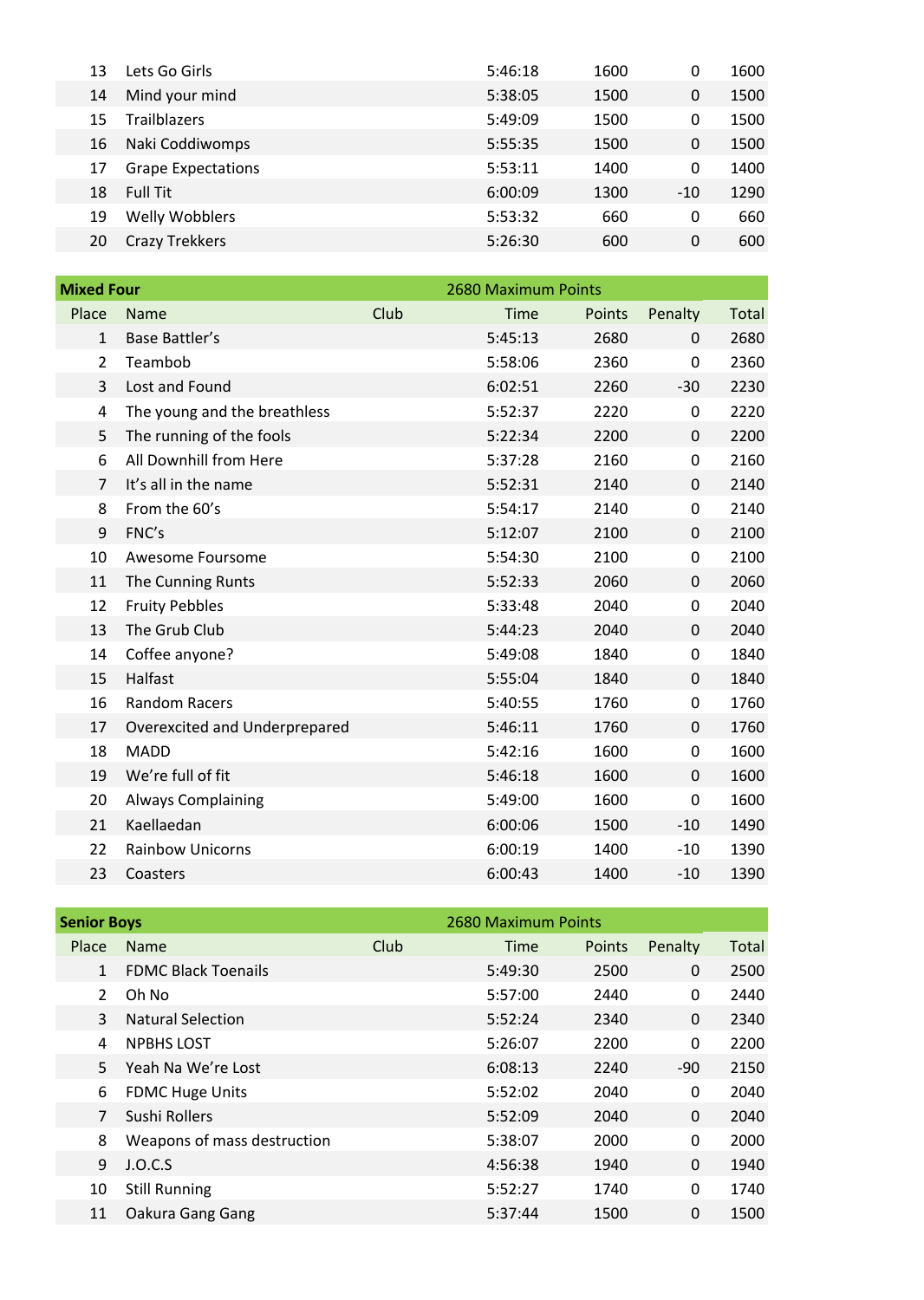| 13 | Lets Go Girls             | 5:46:18 | 1600 | 0     | 1600 |
|----|---------------------------|---------|------|-------|------|
| 14 | Mind your mind            | 5:38:05 | 1500 | 0     | 1500 |
| 15 | Trailblazers              | 5:49:09 | 1500 | 0     | 1500 |
| 16 | Naki Coddiwomps           | 5:55:35 | 1500 | 0     | 1500 |
| 17 | <b>Grape Expectations</b> | 5:53:11 | 1400 | 0     | 1400 |
| 18 | Full Tit                  | 6:00:09 | 1300 | $-10$ | 1290 |
| 19 | Welly Wobblers            | 5:53:32 | 660  | 0     | 660  |
| 20 | <b>Crazy Trekkers</b>     | 5:26:30 | 600  | 0     | 600  |
|    |                           |         |      |       |      |

| <b>Mixed Four</b> |                               |      | 2680 Maximum Points |        |             |       |  |  |
|-------------------|-------------------------------|------|---------------------|--------|-------------|-------|--|--|
| Place             | Name                          | Club | Time                | Points | Penalty     | Total |  |  |
| 1                 | Base Battler's                |      | 5:45:13             | 2680   | $\mathbf 0$ | 2680  |  |  |
| 2                 | Teambob                       |      | 5:58:06             | 2360   | 0           | 2360  |  |  |
| 3                 | Lost and Found                |      | 6:02:51             | 2260   | $-30$       | 2230  |  |  |
| 4                 | The young and the breathless  |      | 5:52:37             | 2220   | 0           | 2220  |  |  |
| 5                 | The running of the fools      |      | 5:22:34             | 2200   | $\mathbf 0$ | 2200  |  |  |
| 6                 | All Downhill from Here        |      | 5:37:28             | 2160   | 0           | 2160  |  |  |
| 7                 | It's all in the name          |      | 5:52:31             | 2140   | $\mathbf 0$ | 2140  |  |  |
| 8                 | From the 60's                 |      | 5:54:17             | 2140   | $\mathbf 0$ | 2140  |  |  |
| 9                 | FNC's                         |      | 5:12:07             | 2100   | $\mathbf 0$ | 2100  |  |  |
| 10                | Awesome Foursome              |      | 5:54:30             | 2100   | $\mathbf 0$ | 2100  |  |  |
| 11                | The Cunning Runts             |      | 5:52:33             | 2060   | $\mathbf 0$ | 2060  |  |  |
| 12                | <b>Fruity Pebbles</b>         |      | 5:33:48             | 2040   | $\mathbf 0$ | 2040  |  |  |
| 13                | The Grub Club                 |      | 5:44:23             | 2040   | $\mathbf 0$ | 2040  |  |  |
| 14                | Coffee anyone?                |      | 5:49:08             | 1840   | 0           | 1840  |  |  |
| 15                | Halfast                       |      | 5:55:04             | 1840   | $\mathbf 0$ | 1840  |  |  |
| 16                | Random Racers                 |      | 5:40:55             | 1760   | $\mathbf 0$ | 1760  |  |  |
| 17                | Overexcited and Underprepared |      | 5:46:11             | 1760   | $\mathbf 0$ | 1760  |  |  |
| 18                | <b>MADD</b>                   |      | 5:42:16             | 1600   | $\mathbf 0$ | 1600  |  |  |
| 19                | We're full of fit             |      | 5:46:18             | 1600   | $\mathbf 0$ | 1600  |  |  |
| 20                | <b>Always Complaining</b>     |      | 5:49:00             | 1600   | 0           | 1600  |  |  |
| 21                | Kaellaedan                    |      | 6:00:06             | 1500   | $-10$       | 1490  |  |  |
| 22                | <b>Rainbow Unicorns</b>       |      | 6:00:19             | 1400   | $-10$       | 1390  |  |  |
| 23                | Coasters                      |      | 6:00:43             | 1400   | $-10$       | 1390  |  |  |

|             | <b>Senior Boys</b>          |      | 2680 Maximum Points |        |              |       |
|-------------|-----------------------------|------|---------------------|--------|--------------|-------|
| Place       | Name                        | Club | Time                | Points | Penalty      | Total |
|             | <b>FDMC Black Toenails</b>  |      | 5:49:30             | 2500   | $\mathbf 0$  | 2500  |
| $2^{\circ}$ | Oh No                       |      | 5:57:00             | 2440   | $\mathbf 0$  | 2440  |
| 3           | <b>Natural Selection</b>    |      | 5:52:24             | 2340   | $\mathbf{0}$ | 2340  |
| 4           | <b>NPBHS LOST</b>           |      | 5:26:07             | 2200   | $\mathbf 0$  | 2200  |
|             | 5 Yeah Na We're Lost        |      | 6:08:13             | 2240   | $-90$        | 2150  |
| 6           | <b>FDMC Huge Units</b>      |      | 5:52:02             | 2040   | $\mathbf 0$  | 2040  |
|             | Sushi Rollers               |      | 5:52:09             | 2040   | $\mathbf{0}$ | 2040  |
| 8           | Weapons of mass destruction |      | 5:38:07             | 2000   | 0            | 2000  |
|             | 9 J.O.C.S                   |      | 4:56:38             | 1940   | $\mathbf 0$  | 1940  |
| 10          | <b>Still Running</b>        |      | 5:52:27             | 1740   | 0            | 1740  |
| 11          | Oakura Gang Gang            |      | 5:37:44             | 1500   | $\mathbf 0$  | 1500  |